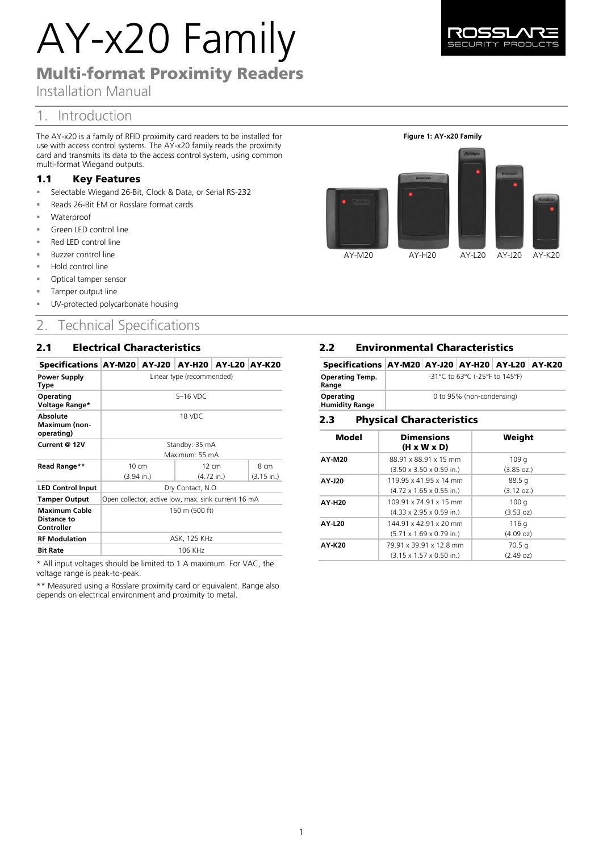# AY-x20 Family

# Multi-format Proximity Readers

Installation Manual

# 1. Introduction

The AY-x20 is a family of RFID proximity card readers to be installed for use with access control systems. The AY-x20 family reads the proximity card and transmits its data to the access control system, using common multi-format Wiegand outputs.

## 1.1 Key Features

- Selectable Wiegand 26-Bit, Clock & Data, or Serial RS-232
- Reads 26-Bit EM or Rosslare format cards
- Waterproof
- Green LED control line
- Red LED control line
- Buzzer control line
- Hold control line
- Optical tamper sensor
- Tamper output line
- UV-protected polycarbonate housing

# 2. Technical Specifications

# 2.1 Electrical Characteristics

#### Specifications AY-M20 AY-J20 AY-H20 AY-L20 AY-K20

| <b>Power Supply</b><br>Type                       | Linear type (recommended)                           |                      |                      |  |
|---------------------------------------------------|-----------------------------------------------------|----------------------|----------------------|--|
| Operating<br>Voltage Range*                       | $5-16$ VDC                                          |                      |                      |  |
| Absolute<br><b>Maximum (non-</b><br>operating)    | 18 VDC                                              |                      |                      |  |
| Current @ 12V                                     | Standby: 35 mA                                      |                      |                      |  |
|                                                   | Maximum: 55 mA                                      |                      |                      |  |
| Read Range**                                      | 10 cm                                               | 12 cm                | 8 cm                 |  |
|                                                   | $(3.94 \text{ in.})$                                | $(4.72 \text{ in.})$ | $(3.15 \text{ in.})$ |  |
| <b>LED Control Input</b>                          | Dry Contact, N.O.                                   |                      |                      |  |
| <b>Tamper Output</b>                              | Open collector, active low, max. sink current 16 mA |                      |                      |  |
| <b>Maximum Cable</b><br>Distance to<br>Controller | 150 m (500 ft)                                      |                      |                      |  |
| <b>RF Modulation</b>                              | ASK, 125 KHz                                        |                      |                      |  |
| <b>Bit Rate</b>                                   | 106 KHz                                             |                      |                      |  |

\* All input voltages should be limited to 1 A maximum. For VAC, the voltage range is peak-to-peak.

\*\* Measured using a Rosslare proximity card or equivalent. Range also depends on electrical environment and proximity to metal.

# **2.2 Environmental Characteristics**

| Specifications   AY-M20   AY-J20   AY-H20   AY-L20   AY-K20 |                                |  |  |  |  |
|-------------------------------------------------------------|--------------------------------|--|--|--|--|
| <b>Operating Temp.</b><br>Range                             | -31°C to 63°C (-25°F to 145°F) |  |  |  |  |
| Operating<br><b>Humidity Range</b>                          | 0 to 95% (non-condensing)      |  |  |  |  |

#### 2.3 **Physical Characteristics**

| Model  | <b>Dimensions</b><br>$(H \times W \times D)$ | Weight               |
|--------|----------------------------------------------|----------------------|
| AY-M20 | 88.91 x 88.91 x 15 mm                        | 109q                 |
|        | $(3.50 \times 3.50 \times 0.59 \text{ in.})$ | $(3.85 \text{ oz.})$ |
| AY-J20 | 119 95 x 41 95 x 14 mm                       | 88.5q                |
|        | $(4.72 \times 1.65 \times 0.55 \text{ in.})$ | $(3.12 \text{ oz.})$ |
| AY-H20 | 109 91 x 74 91 x 15 mm                       | 100q                 |
|        | $(4.33 \times 2.95 \times 0.59 \text{ in.})$ | (3.53 oz)            |
| AY-L20 | 144 91 x 42 91 x 20 mm                       | 116 g                |
|        | $(5.71 \times 1.69 \times 0.79 \text{ in.})$ | (4.09 oz)            |
| AY-K20 | 79 91 x 39 91 x 12 8 mm                      | 70.5q                |
|        | $(3.15 \times 1.57 \times 0.50 \text{ in.})$ | (2.49 oz)            |

**Figure 1: AY-x20 Family**

AY-M20 AY-H20 AY-L20 AY-J20 AY-K20

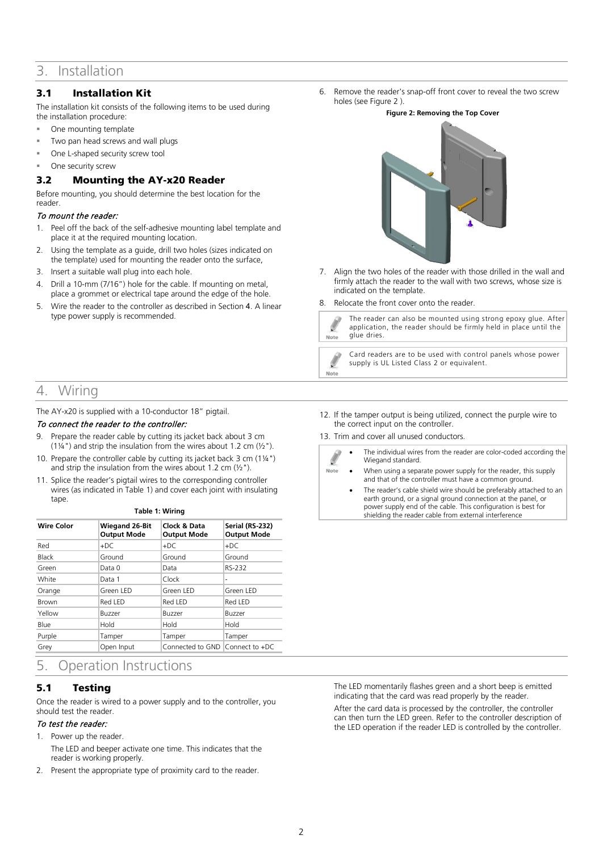# 3. Installation

## 3.1 Installation Kit

The installation kit consists of the following items to be used during the installation procedure:

- One mounting template
- Two pan head screws and wall plugs
- One L-shaped security screw tool
- One security screw

## 3.2 Mounting the AY-x20 Reader

Before mounting, you should determine the best location for the reader.

#### To mount the reader:

- 1. Peel off the back of the self-adhesive mounting label template and place it at the required mounting location.
- 2. Using the template as a guide, drill two holes (sizes indicated on the template) used for mounting the reader onto the surface,
- 3. Insert a suitable wall plug into each hole.
- 4. Drill a 10-mm (7/16") hole for the cable. If mounting on metal, place a grommet or electrical tape around the edge of the hole.
- 5. Wire the reader to the controller as described in Section [4](#page-1-0). A linear type power supply is recommended.
- <span id="page-1-0"></span>4. Wiring

#### The AY-x20 is supplied with a 10-conductor 18" pigtail.

#### To connect the reader to the controller:

- 9. Prepare the reader cable by cutting its jacket back about 3 cm (1¼") and strip the insulation from the wires about 1.2 cm  $(\frac{1}{2})$ .
- 10. Prepare the controller cable by cutting its jacket back 3 cm (1¼") and strip the insulation from the wires about 1.2 cm  $(\frac{1}{2})$ .
- 11. Splice the reader's pigtail wires to the corresponding controller wires (as indicated i[n Table 1\)](#page-1-2) and cover each joint with insulating tape. **Table 1: Wiring**

| rapie 1: wiring |  |
|-----------------|--|
|                 |  |

<span id="page-1-2"></span>

| <b>Wire Color</b> | <b>Wiegand 26-Bit</b><br><b>Output Mode</b> | Clock & Data<br><b>Output Mode</b> | Serial (RS-232)<br><b>Output Mode</b> |
|-------------------|---------------------------------------------|------------------------------------|---------------------------------------|
| Red               | $+DC$                                       | $+DC$                              | $+DC$                                 |
| <b>Black</b>      | Ground                                      | Ground                             | Ground                                |
| Green             | Data 0                                      | Data                               | RS-232                                |
| White             | Data 1                                      | Clock                              | -                                     |
| Orange            | Green LED                                   | Green LED                          | Green LED                             |
| <b>Brown</b>      | Red LED                                     | Red LED                            | Red LED                               |
| Yellow            | Buzzer                                      | Buzzer                             | Buzzer                                |
| Blue              | Hold                                        | Hold                               | Hold                                  |
| Purple            | Tamper                                      | Tamper                             | Tamper                                |
| Grey              | Open Input                                  | Connected to GND Connect to +DC    |                                       |

# 5. Operation Instructions

## 5.1 Testing

Once the reader is wired to a power supply and to the controller, you should test the reader.

#### To test the reader:

- 1. Power up the reader.
	- The LED and beeper activate one time. This indicates that the reader is working properly.
- 2. Present the appropriate type of proximity card to the reader.

<span id="page-1-1"></span>6. Remove the reader's snap-off front cover to reveal the two screw holes (se[e Figure 2](#page-1-1) ).

#### **Figure 2: Removing the Top Cover**



- 7. Align the two holes of the reader with those drilled in the wall and firmly attach the reader to the wall with two screws, whose size is indicated on the template.
- 8. Relocate the front cover onto the reader.



The reader can also be mounted using strong epoxy glue. After application, the reader should be firmly held in place until the



Card readers are to be used with control panels whose power supply is UL Listed Class 2 or equivalent.

- 12. If the tamper output is being utilized, connect the purple wire to the correct input on the controller.
- 13. Trim and cover all unused conductors.



Ø Note

- The individual wires from the reader are color-coded according the Wiegand standard.
- When using a separate power supply for the reader, this supply and that of the controller must have a common ground.
- The reader's cable shield wire should be preferably attached to an earth ground, or a signal ground connection at the panel, or power supply end of the cable. This configuration is best for shielding the reader cable from external interference

The LED momentarily flashes green and a short beep is emitted indicating that the card was read properly by the reader.

After the card data is processed by the controller, the controller can then turn the LED green. Refer to the controller description of the LED operation if the reader LED is controlled by the controller.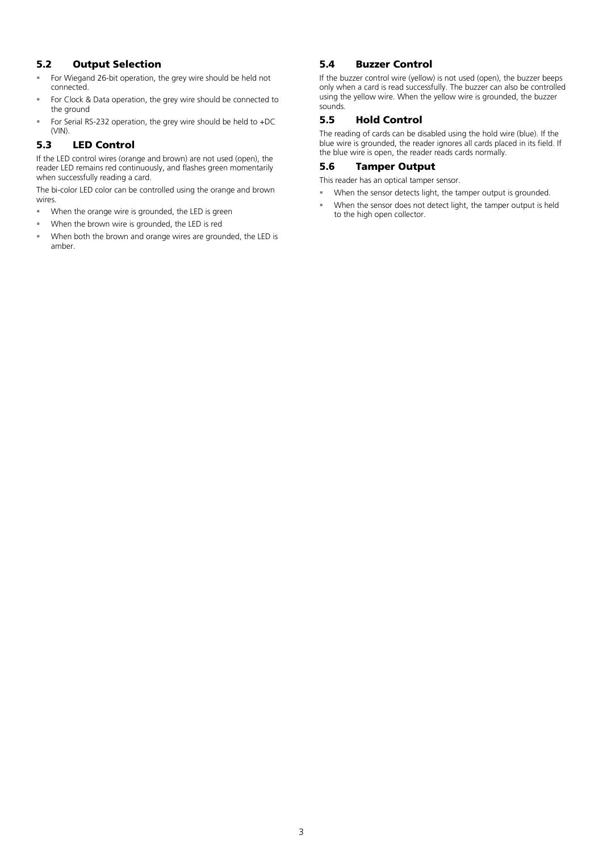## 5.2 Output Selection

- For Wiegand 26-bit operation, the grey wire should be held not connected.
- For Clock & Data operation, the grey wire should be connected to the ground
- For Serial RS-232 operation, the grey wire should be held to +DC (VIN).

## 5.3 LED Control

If the LED control wires (orange and brown) are not used (open), the reader LED remains red continuously, and flashes green momentarily when successfully reading a card.

The bi-color LED color can be controlled using the orange and brown wires.

- When the orange wire is grounded, the LED is green
- When the brown wire is grounded, the LED is red
- When both the brown and orange wires are grounded, the LED is amber.

## 5.4 Buzzer Control

If the buzzer control wire (yellow) is not used (open), the buzzer beeps only when a card is read successfully. The buzzer can also be controlled using the yellow wire. When the yellow wire is grounded, the buzzer sounds.

#### 5.5 Hold Control

The reading of cards can be disabled using the hold wire (blue). If the blue wire is grounded, the reader ignores all cards placed in its field. If the blue wire is open, the reader reads cards normally.

#### 5.6 Tamper Output

This reader has an optical tamper sensor.

- When the sensor detects light, the tamper output is grounded.
- When the sensor does not detect light, the tamper output is held to the high open collector.